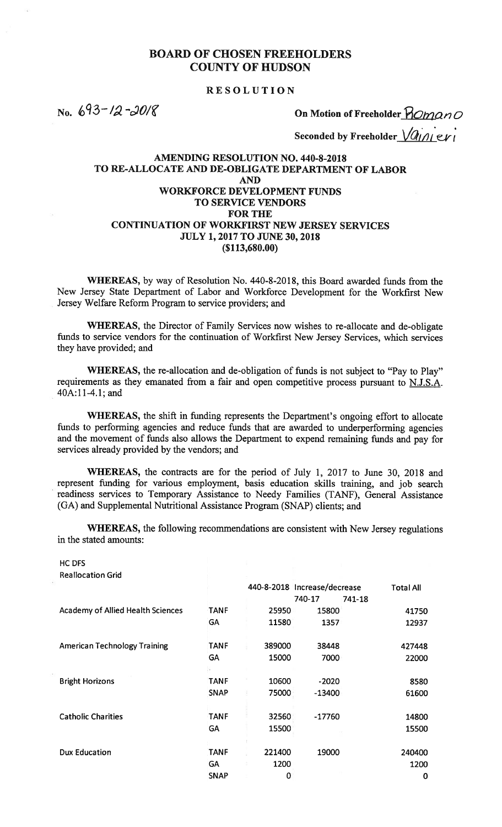# BOARD OF CHOSEN FREEHOLDERS COUNTY OF HUDSON BOARD OF CHOSEN FREEHOLDERS<br>
COUNTY OF HUDSON<br>
RESOLUTION<br>
On Motion of Freeholder Promano<br>
Seconded by Freeholder *Value Ki*

#### RESOLUTION

Seconded by Freeholder  $\sqrt{a_{1/1}}$  evi

#### AMENDING RESOLUTION NO. 440-8-2018 TO RE-ALLOCATE AND DE-OBLIGATE DEPARTMENT OF LABOR AND WORKFORCE DEVELOPMENT FUNDS TO SERVICE VENDORS FOR THE CONTINUATION OF WORKFIRST NEW JERSEY SERVICES JULY 1, 2017 TO JUNE 30, 2018 (\$113,680.00)

WHEREAS, by way of Resolution No. 440-8-2018, this Board awarded funds from the New Jersey State Department of Labor and Workforce Development for the Workfirst New Jersey Welfare Reform Program to service providers; and

WHEREAS, the Director of Family Services now wishes to re-allocate and de-obligate funds to service vendors for the continuation of Workfirst New Jersey Services, which services they have provided; and

WHEREAS, the re-allocation and de-obligation of funds is not subject to "Pay to Play" requirements as they emanated from a fair and open competitive process pursuant to N.J.S.A. 40A:11-4.1; and

WHEREAS, the shift in funding represents the Department's ongoing effort to allocate funds to performing agencies and reduce funds that are awarded to underperforming agencies and the movement of funds also allows the Department to expend remaining funds and pay for services already provided by the vendors; and

WHEREAS, the contracts are for the period of July 1, 2017 to June 30, 2018 and represent funding for various employment, basis education skills training, and job search readiness services to Temporary Assistance to Needy Families (TANF), General Assistance (GA) and Supplemental Nutritional Assistance Program (SNAP) clients; and

WHEREAS, the following recommendations are consistent with New Jersey regulations in the stated amounts:

HC DFS Reallocation Grid

| יינטווטנענוטוו טווע                      |             |        |                              |                  |
|------------------------------------------|-------------|--------|------------------------------|------------------|
|                                          |             |        | 440-8-2018 Increase/decrease | <b>Total All</b> |
|                                          |             |        | 740-17                       | 741-18           |
| <b>Academy of Allied Health Sciences</b> | <b>TANF</b> | 25950  | 15800                        | 41750            |
|                                          | <b>GA</b>   | 11580  | 1357                         | 12937            |
| <b>American Technology Training</b>      | <b>TANF</b> | 389000 | 38448                        | 427448           |
|                                          | GA          | 15000  | 7000                         | 22000            |
| <b>Bright Horizons</b>                   | <b>TANF</b> | 10600  | $-2020$                      | 8580             |
|                                          | <b>SNAP</b> | 75000  | $-13400$                     | 61600            |
| <b>Catholic Charities</b>                | <b>TANF</b> | 32560  | $-17760$                     | 14800            |
|                                          | GA          | 15500  |                              | 15500            |
| <b>Dux Education</b>                     | <b>TANF</b> | 221400 | 19000                        | 240400           |
|                                          | <b>GA</b>   | 1200   |                              | 1200             |
|                                          | <b>SNAP</b> | 0      |                              | 0                |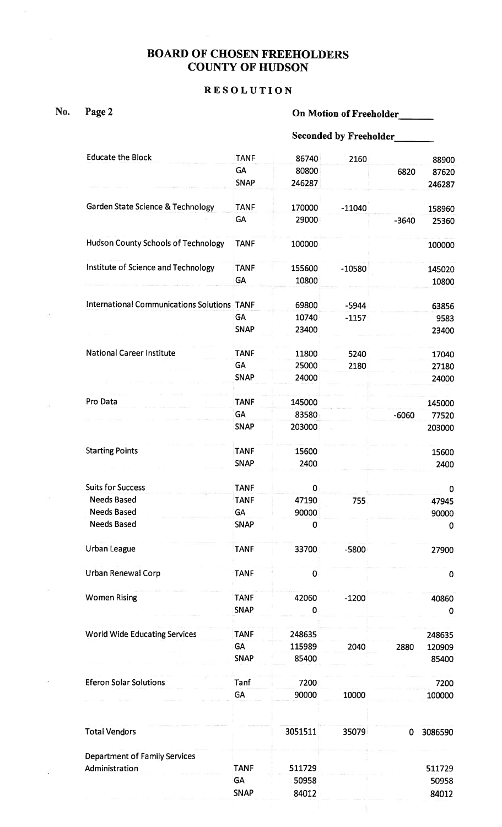### BOARD OF CHOSEN FREEHOLDERS COUNTY OF HUDSON

738

#### RESOLUTION

þ,

 $\langle \epsilon \rangle$ 

 $\omega$ 

 $\hat{\sigma}$ 

 $\bar{\Omega}$ 

 $\mathcal{A}$ 

 $\hat{\Xi}$ 

## No. Page 2 **On Motion of Freeholder**

|                                                    | <b>Seconded by Freeholder</b> |         |          |         |             |  |  |
|----------------------------------------------------|-------------------------------|---------|----------|---------|-------------|--|--|
| <b>Educate the Block</b>                           | <b>TANF</b>                   | 86740   | 2160     |         | 88900       |  |  |
|                                                    | GA                            | 80800   |          | 6820    | 87620       |  |  |
|                                                    | <b>SNAP</b>                   | 246287  |          |         | 246287      |  |  |
| Garden State Science & Technology                  | <b>TANF</b>                   | 170000  | $-11040$ |         | 158960      |  |  |
|                                                    | GA                            | 29000   |          | $-3640$ | 25360       |  |  |
| <b>Hudson County Schools of Technology</b>         | <b>TANF</b>                   | 100000  |          |         | 100000      |  |  |
| Institute of Science and Technology                | <b>TANF</b>                   | 155600  | $-10580$ |         | 145020      |  |  |
|                                                    | <b>GA</b>                     | 10800   |          |         | 10800       |  |  |
| <b>International Communications Solutions TANF</b> |                               | 69800   | $-5944$  |         | 63856       |  |  |
|                                                    | <b>GA</b>                     | 10740   | $-1157$  |         | 9583        |  |  |
|                                                    | <b>SNAP</b>                   | 23400   |          |         | 23400       |  |  |
| <b>National Career Institute</b>                   | <b>TANF</b>                   | 11800   | 5240     |         | 17040       |  |  |
|                                                    | <b>GA</b>                     | 25000   | 2180     |         | 27180       |  |  |
|                                                    | <b>SNAP</b>                   | 24000   |          |         | 24000       |  |  |
|                                                    |                               |         |          |         |             |  |  |
| Pro Data                                           | <b>TANF</b>                   | 145000  |          |         | 145000      |  |  |
|                                                    | <b>GA</b>                     | 83580   |          | $-6060$ | 77520       |  |  |
|                                                    | <b>SNAP</b>                   | 203000  |          |         | 203000      |  |  |
| <b>Starting Points</b>                             | <b>TANF</b>                   | 15600   |          |         | 15600       |  |  |
|                                                    | <b>SNAP</b>                   | 2400    |          |         | 2400        |  |  |
| <b>Suits for Success</b>                           | <b>TANF</b>                   | 0       |          |         |             |  |  |
| <b>Needs Based</b>                                 | TANF                          | 47190   |          |         | $\mathbf 0$ |  |  |
| <b>Needs Based</b>                                 | GA                            | 90000   | 755      |         | 47945       |  |  |
| <b>Needs Based</b>                                 | <b>SNAP</b>                   | 0       |          |         | 90000       |  |  |
|                                                    |                               |         |          |         | 0           |  |  |
| Urban League                                       | <b>TANF</b>                   | 33700   | $-5800$  |         | 27900       |  |  |
| Urban Renewal Corp                                 | <b>TANF</b>                   | 0       |          |         | 0           |  |  |
| <b>Women Rising</b>                                | <b>TANF</b>                   | 42060   | $-1200$  |         | 40860       |  |  |
|                                                    | <b>SNAP</b>                   | 0       |          |         | 0           |  |  |
| <b>World Wide Educating Services</b>               | <b>TANF</b>                   | 248635  |          |         | 248635      |  |  |
|                                                    | <b>GA</b>                     | 115989  | 2040     | 2880    | 120909      |  |  |
|                                                    | <b>SNAP</b>                   | 85400   |          |         | 85400       |  |  |
|                                                    |                               |         |          |         |             |  |  |
| <b>Eferon Solar Solutions</b>                      | Tanf                          | 7200    |          |         | 7200        |  |  |
|                                                    | GA                            | 90000   | 10000    |         | 100000      |  |  |
| <b>Total Vendors</b>                               |                               | 3051511 | 35079    | 0       | 3086590     |  |  |
| <b>Department of Family Services</b>               |                               |         |          |         |             |  |  |
| Administration                                     | <b>TANF</b>                   | 511729  |          |         | 511729      |  |  |
|                                                    | <b>GA</b>                     | 50958   |          |         | 50958       |  |  |
|                                                    | <b>SNAP</b>                   | 84012   |          |         | 84012       |  |  |
|                                                    |                               |         |          |         |             |  |  |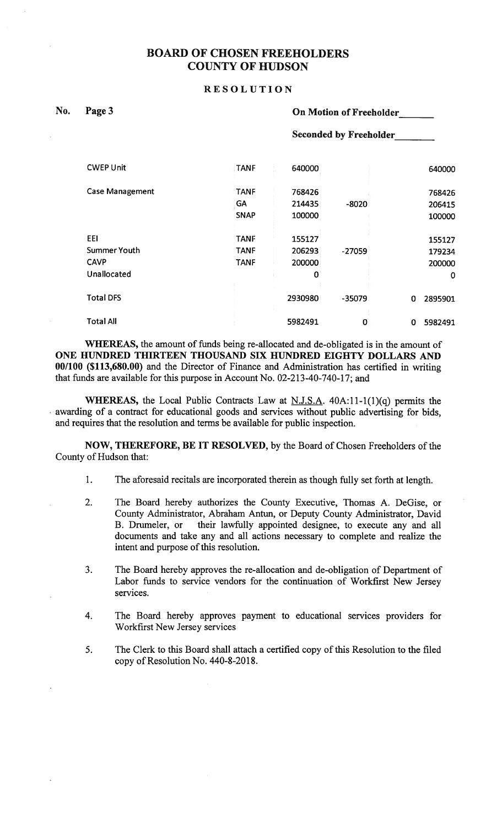#### BOARD OF CHOSEN FREEHOLDERS COUNTY OF HUDSON

#### **RESOLUTION**

| No. | Page |
|-----|------|
|     |      |

#### e 3 **On Motion of Freeholder**

Seconded by Freeholder\_\_\_\_\_\_\_

| <b>CWEP Unit</b>       | <b>TANF</b> | 640000  |          | 640000       |
|------------------------|-------------|---------|----------|--------------|
| <b>Case Management</b> | <b>TANF</b> | 768426  |          | 768426       |
|                        | GA          | 214435  | $-8020$  | 206415       |
|                        | <b>SNAP</b> | 100000  |          | 100000       |
| EEI                    | <b>TANF</b> | 155127  |          | 155127       |
| <b>Summer Youth</b>    | <b>TANF</b> | 206293  | $-27059$ | 179234       |
| <b>CAVP</b>            | <b>TANF</b> | 200000  |          | 200000       |
| Unallocated            |             | 0       |          | 0            |
| <b>Total DFS</b>       |             | 2930980 | $-35079$ | 0<br>2895901 |
| <b>Total All</b>       |             | 5982491 | 0        | 5982491<br>0 |

WHEREAS, the amount of funds being re-allocated and de-obligated is in the amount of ONE HUNDRED THIRTEEN THOUSAND SIX HUNDRED EIGHTY DOLLARS AND 00/100 (\$113,680.00) and the Director of Finance and Administration has certified in writing that funds are available for this purpose in Account No. 02-213-40-740-17; and

WHEREAS, the Local Public Contracts Law at N.J.S.A.  $40A:11-1(1)(q)$  permits the awarding of a contract for educational goods and services without public advertising for bids, and requires that the resolution and terms be available for public inspection.

NOW, THEREFORE, BE IT RESOLVED, by the Board of Chosen Freeholders of the County of Hudson that:

- 1. The aforesaid recitals are incorporated therein as though fully set forth at length.
- 2. The Board hereby authorizes the County Executive, Thomas A. DeGise, or County Administrator, Abraham Antun, or Deputy County Administrator, David their lawfully appointed designee, to execute any and all documents and take any and all actions necessary to complete and realize the intent and purpose of this resolution.
- 3. The Board hereby approves the re-allocation and de-obligation of Department of Labor funds to service vendors for the continuation of Workfirst New Jersey services.
- 4. The Board hereby approves payment to educational services providers for Workfirst New Jersey services
- 5. The Clerk to this Board shall attach a certified copy of this Resolution to the filed copy of Resolution No. 440-8-2018.